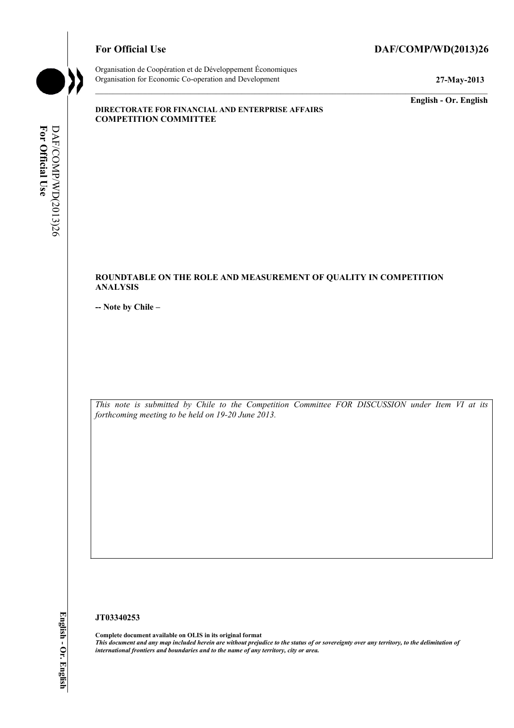# For Official Use DAF/COMP/WD(2013)26



Organisation de Coopération et de Développement Économiques Organisation for Economic Co-operation and Development **27-May-2013** 

**English - Or. English** 

#### **DIRECTORATE FOR FINANCIAL AND ENTERPRISE AFFAIRS COMPETITION COMMITTEE**

# **ROUNDTABLE ON THE ROLE AND MEASUREMENT OF QUALITY IN COMPETITION ANALYSIS**

**-- Note by Chile –** 

*This note is submitted by Chile to the Competition Committee FOR DISCUSSION under Item VI at its forthcoming meeting to be held on 19-20 June 2013.* 

# **JT03340253**

**Complete document available on OLIS in its original format** *This document and any map included herein are without prejudice to the status of or sovereignty over any territory, to the delimitation of international frontiers and boundaries and to the name of any territory, city or area.*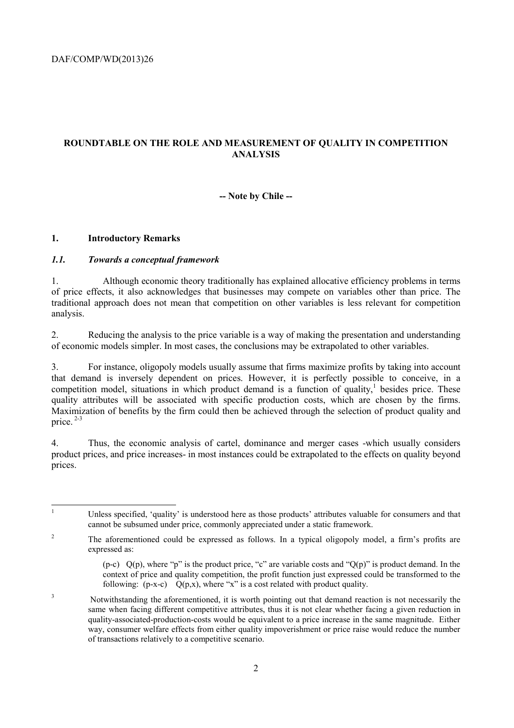# **ROUNDTABLE ON THE ROLE AND MEASUREMENT OF QUALITY IN COMPETITION ANALYSIS**

### **-- Note by Chile --**

#### **1. Introductory Remarks**

 $\frac{1}{1}$ 

### *1.1. Towards a conceptual framework*

1. Although economic theory traditionally has explained allocative efficiency problems in terms of price effects, it also acknowledges that businesses may compete on variables other than price. The traditional approach does not mean that competition on other variables is less relevant for competition analysis.

2. Reducing the analysis to the price variable is a way of making the presentation and understanding of economic models simpler. In most cases, the conclusions may be extrapolated to other variables.

3. For instance, oligopoly models usually assume that firms maximize profits by taking into account that demand is inversely dependent on prices. However, it is perfectly possible to conceive, in a competition model, situations in which product demand is a function of quality, $1$  besides price. These quality attributes will be associated with specific production costs, which are chosen by the firms. Maximization of benefits by the firm could then be achieved through the selection of product quality and price. 2-3

4. Thus, the economic analysis of cartel, dominance and merger cases -which usually considers product prices, and price increases- in most instances could be extrapolated to the effects on quality beyond prices.

 Unless specified, 'quality' is understood here as those products' attributes valuable for consumers and that cannot be subsumed under price, commonly appreciated under a static framework.

<sup>&</sup>lt;sup>2</sup> The aforementioned could be expressed as follows. In a typical oligopoly model, a firm's profits are expressed as:

<sup>(</sup>p-c)  $Q(p)$ , where "p" is the product price, "c" are variable costs and " $Q(p)$ " is product demand. In the context of price and quality competition, the profit function just expressed could be transformed to the following:  $(p-x-c)$   $Q(p,x)$ , where "x" is a cost related with product quality.

<sup>3</sup> Notwithstanding the aforementioned, it is worth pointing out that demand reaction is not necessarily the same when facing different competitive attributes, thus it is not clear whether facing a given reduction in quality-associated-production-costs would be equivalent to a price increase in the same magnitude. Either way, consumer welfare effects from either quality impoverishment or price raise would reduce the number of transactions relatively to a competitive scenario.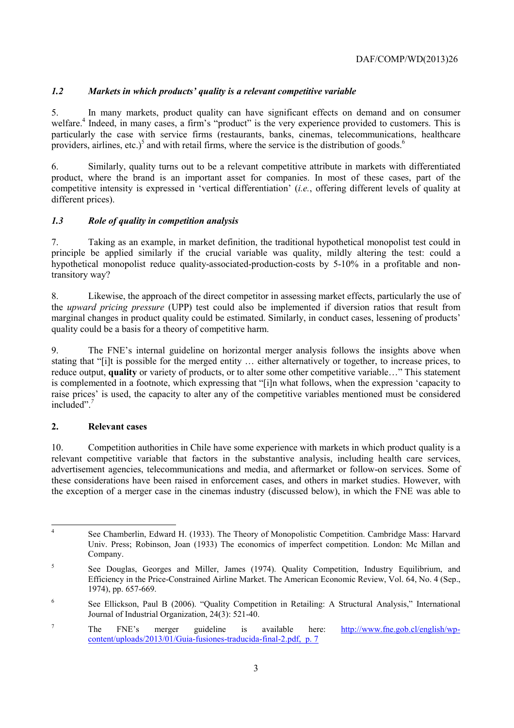# *1.2 Markets in which products' quality is a relevant competitive variable*

5. In many markets, product quality can have significant effects on demand and on consumer welfare.<sup>4</sup> Indeed, in many cases, a firm's "product" is the very experience provided to customers. This is particularly the case with service firms (restaurants, banks, cinemas, telecommunications, healthcare providers, airlines, etc.)<sup>5</sup> and with retail firms, where the service is the distribution of goods.<sup>6</sup>

6. Similarly, quality turns out to be a relevant competitive attribute in markets with differentiated product, where the brand is an important asset for companies. In most of these cases, part of the competitive intensity is expressed in 'vertical differentiation' (*i.e.*, offering different levels of quality at different prices).

# *1.3 Role of quality in competition analysis*

7. Taking as an example, in market definition, the traditional hypothetical monopolist test could in principle be applied similarly if the crucial variable was quality, mildly altering the test: could a hypothetical monopolist reduce quality-associated-production-costs by 5-10% in a profitable and nontransitory way?

8. Likewise, the approach of the direct competitor in assessing market effects, particularly the use of the *upward pricing pressure* (UPP) test could also be implemented if diversion ratios that result from marginal changes in product quality could be estimated. Similarly, in conduct cases, lessening of products' quality could be a basis for a theory of competitive harm.

9. The FNE's internal guideline on horizontal merger analysis follows the insights above when stating that "[i]t is possible for the merged entity … either alternatively or together, to increase prices, to reduce output, **quality** or variety of products, or to alter some other competitive variable…" This statement is complemented in a footnote, which expressing that "[i]n what follows, when the expression 'capacity to raise prices' is used, the capacity to alter any of the competitive variables mentioned must be considered included".*<sup>7</sup>*

# **2. Relevant cases**

10. Competition authorities in Chile have some experience with markets in which product quality is a relevant competitive variable that factors in the substantive analysis, including health care services, advertisement agencies, telecommunications and media, and aftermarket or follow-on services. Some of these considerations have been raised in enforcement cases, and others in market studies. However, with the exception of a merger case in the cinemas industry (discussed below), in which the FNE was able to

 $\overline{A}$ See Chamberlin, Edward H. (1933). The Theory of Monopolistic Competition. Cambridge Mass: Harvard Univ. Press; Robinson, Joan (1933) The economics of imperfect competition. London: Mc Millan and Company.

<sup>&</sup>lt;sup>5</sup> See Douglas, Georges and Miller, James (1974). Quality Competition, Industry Equilibrium, and Efficiency in the Price-Constrained Airline Market. The American Economic Review, Vol. 64, No. 4 (Sep., 1974), pp. 657-669.

<sup>6</sup> See Ellickson, Paul B (2006). "Quality Competition in Retailing: A Structural Analysis," International Journal of Industrial Organization, 24(3): 521-40.

<sup>7</sup> The FNE's merger guideline is available here: http://www.fne.gob.cl/english/wpcontent/uploads/2013/01/Guia-fusiones-traducida-final-2.pdf, p. 7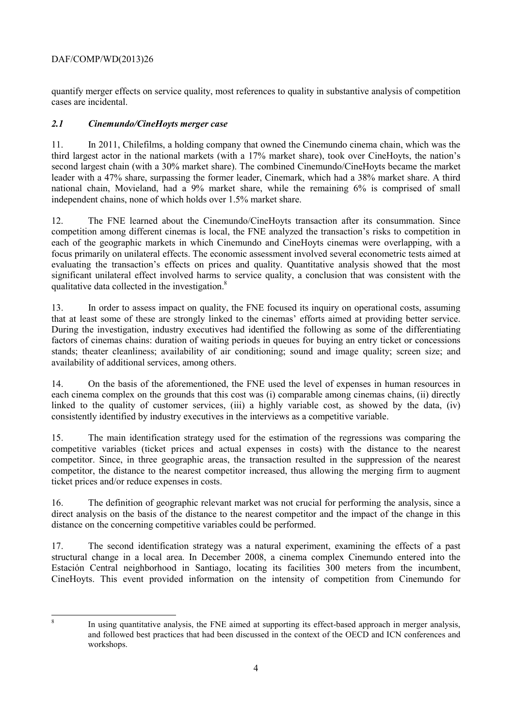quantify merger effects on service quality, most references to quality in substantive analysis of competition cases are incidental.

# *2.1 Cinemundo/CineHoyts merger case*

11. In 2011, Chilefilms, a holding company that owned the Cinemundo cinema chain, which was the third largest actor in the national markets (with a 17% market share), took over CineHoyts, the nation's second largest chain (with a 30% market share). The combined Cinemundo/CineHoyts became the market leader with a 47% share, surpassing the former leader, Cinemark, which had a 38% market share. A third national chain, Movieland, had a 9% market share, while the remaining 6% is comprised of small independent chains, none of which holds over 1.5% market share.

12. The FNE learned about the Cinemundo/CineHoyts transaction after its consummation. Since competition among different cinemas is local, the FNE analyzed the transaction's risks to competition in each of the geographic markets in which Cinemundo and CineHoyts cinemas were overlapping, with a focus primarily on unilateral effects. The economic assessment involved several econometric tests aimed at evaluating the transaction's effects on prices and quality. Quantitative analysis showed that the most significant unilateral effect involved harms to service quality, a conclusion that was consistent with the qualitative data collected in the investigation.<sup>8</sup>

13. In order to assess impact on quality, the FNE focused its inquiry on operational costs, assuming that at least some of these are strongly linked to the cinemas' efforts aimed at providing better service. During the investigation, industry executives had identified the following as some of the differentiating factors of cinemas chains: duration of waiting periods in queues for buying an entry ticket or concessions stands; theater cleanliness; availability of air conditioning; sound and image quality; screen size; and availability of additional services, among others.

14. On the basis of the aforementioned, the FNE used the level of expenses in human resources in each cinema complex on the grounds that this cost was (i) comparable among cinemas chains, (ii) directly linked to the quality of customer services, (iii) a highly variable cost, as showed by the data, (iv) consistently identified by industry executives in the interviews as a competitive variable.

15. The main identification strategy used for the estimation of the regressions was comparing the competitive variables (ticket prices and actual expenses in costs) with the distance to the nearest competitor. Since, in three geographic areas, the transaction resulted in the suppression of the nearest competitor, the distance to the nearest competitor increased, thus allowing the merging firm to augment ticket prices and/or reduce expenses in costs.

16. The definition of geographic relevant market was not crucial for performing the analysis, since a direct analysis on the basis of the distance to the nearest competitor and the impact of the change in this distance on the concerning competitive variables could be performed.

17. The second identification strategy was a natural experiment, examining the effects of a past structural change in a local area. In December 2008, a cinema complex Cinemundo entered into the Estación Central neighborhood in Santiago, locating its facilities 300 meters from the incumbent, CineHoyts. This event provided information on the intensity of competition from Cinemundo for

8

In using quantitative analysis, the FNE aimed at supporting its effect-based approach in merger analysis, and followed best practices that had been discussed in the context of the OECD and ICN conferences and workshops.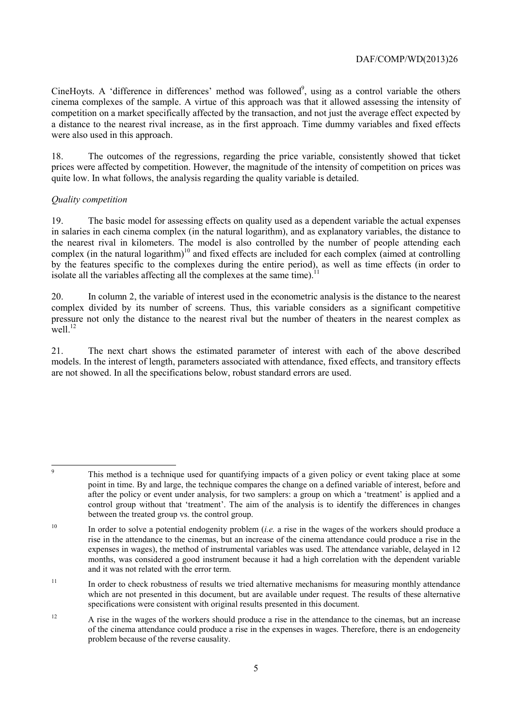CineHoyts. A 'difference in differences' method was followed<sup>9</sup>, using as a control variable the others cinema complexes of the sample. A virtue of this approach was that it allowed assessing the intensity of competition on a market specifically affected by the transaction, and not just the average effect expected by a distance to the nearest rival increase, as in the first approach. Time dummy variables and fixed effects were also used in this approach.

18. The outcomes of the regressions, regarding the price variable, consistently showed that ticket prices were affected by competition. However, the magnitude of the intensity of competition on prices was quite low. In what follows, the analysis regarding the quality variable is detailed.

# *Quality competition*

19. The basic model for assessing effects on quality used as a dependent variable the actual expenses in salaries in each cinema complex (in the natural logarithm), and as explanatory variables, the distance to the nearest rival in kilometers. The model is also controlled by the number of people attending each complex (in the natural logarithm)<sup>10</sup> and fixed effects are included for each complex (aimed at controlling by the features specific to the complexes during the entire period), as well as time effects (in order to isolate all the variables affecting all the complexes at the same time).<sup>11</sup>

20. In column 2, the variable of interest used in the econometric analysis is the distance to the nearest complex divided by its number of screens. Thus, this variable considers as a significant competitive pressure not only the distance to the nearest rival but the number of theaters in the nearest complex as well $^{12}$ 

21. The next chart shows the estimated parameter of interest with each of the above described models. In the interest of length, parameters associated with attendance, fixed effects, and transitory effects are not showed. In all the specifications below, robust standard errors are used.

<sup>11</sup> In order to check robustness of results we tried alternative mechanisms for measuring monthly attendance which are not presented in this document, but are available under request. The results of these alternative specifications were consistent with original results presented in this document.

<sup>12</sup> A rise in the wages of the workers should produce a rise in the attendance to the cinemas, but an increase of the cinema attendance could produce a rise in the expenses in wages. Therefore, there is an endogeneity problem because of the reverse causality.

 $\circ$ 

This method is a technique used for quantifying impacts of a given policy or event taking place at some point in time. By and large, the technique compares the change on a defined variable of interest, before and after the policy or event under analysis, for two samplers: a group on which a 'treatment' is applied and a control group without that 'treatment'. The aim of the analysis is to identify the differences in changes between the treated group vs. the control group.

<sup>10</sup> In order to solve a potential endogenity problem (*i.e.* a rise in the wages of the workers should produce a rise in the attendance to the cinemas, but an increase of the cinema attendance could produce a rise in the expenses in wages), the method of instrumental variables was used. The attendance variable, delayed in 12 months, was considered a good instrument because it had a high correlation with the dependent variable and it was not related with the error term.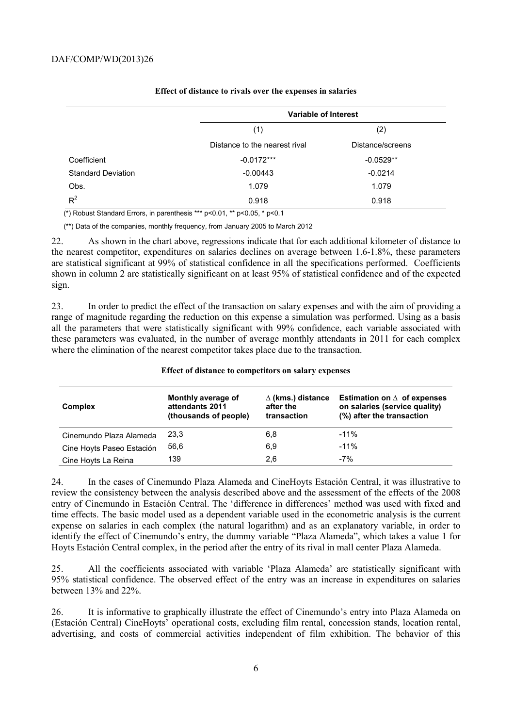|                           |                               | Variable of Interest |  |
|---------------------------|-------------------------------|----------------------|--|
|                           | (1)                           | (2)                  |  |
|                           | Distance to the nearest rival | Distance/screens     |  |
| Coefficient               | $-0.0172***$                  | $-0.0529**$          |  |
| <b>Standard Deviation</b> | $-0.00443$                    | $-0.0214$            |  |
| Obs.                      | 1.079<br>1.079                |                      |  |
| $R^2$                     | 0.918                         | 0.918                |  |

#### **Effect of distance to rivals over the expenses in salaries**

(\*) Robust Standard Errors, in parenthesis \*\*\* p<0.01, \*\* p<0.05, \* p<0.1

(\*\*) Data of the companies, monthly frequency, from January 2005 to March 2012

22. As shown in the chart above, regressions indicate that for each additional kilometer of distance to the nearest competitor, expenditures on salaries declines on average between 1.6-1.8%, these parameters are statistical significant at 99% of statistical confidence in all the specifications performed. Coefficients shown in column 2 are statistically significant on at least 95% of statistical confidence and of the expected sign.

23. In order to predict the effect of the transaction on salary expenses and with the aim of providing a range of magnitude regarding the reduction on this expense a simulation was performed. Using as a basis all the parameters that were statistically significant with 99% confidence, each variable associated with these parameters was evaluated, in the number of average monthly attendants in 2011 for each complex where the elimination of the nearest competitor takes place due to the transaction.

| <b>Complex</b>            | Monthly average of<br>attendants 2011<br>(thousands of people) | $\Delta$ (kms.) distance<br>after the<br>transaction | Estimation on $\Delta$ of expenses<br>on salaries (service quality)<br>(%) after the transaction |
|---------------------------|----------------------------------------------------------------|------------------------------------------------------|--------------------------------------------------------------------------------------------------|
| Cinemundo Plaza Alameda   | 23.3                                                           | 6,8                                                  | $-11%$                                                                                           |
| Cine Hoyts Paseo Estación | 56.6                                                           | 6,9                                                  | $-11%$                                                                                           |
| Cine Hoyts La Reina       | 139                                                            | 2.6                                                  | $-7%$                                                                                            |

#### **Effect of distance to competitors on salary expenses**

24. In the cases of Cinemundo Plaza Alameda and CineHoyts Estación Central, it was illustrative to review the consistency between the analysis described above and the assessment of the effects of the 2008 entry of Cinemundo in Estación Central. The 'difference in differences' method was used with fixed and time effects. The basic model used as a dependent variable used in the econometric analysis is the current expense on salaries in each complex (the natural logarithm) and as an explanatory variable, in order to identify the effect of Cinemundo's entry, the dummy variable "Plaza Alameda", which takes a value 1 for Hoyts Estación Central complex, in the period after the entry of its rival in mall center Plaza Alameda.

25. All the coefficients associated with variable 'Plaza Alameda' are statistically significant with 95% statistical confidence. The observed effect of the entry was an increase in expenditures on salaries between 13% and 22%.

26. It is informative to graphically illustrate the effect of Cinemundo's entry into Plaza Alameda on (Estación Central) CineHoyts' operational costs, excluding film rental, concession stands, location rental, advertising, and costs of commercial activities independent of film exhibition. The behavior of this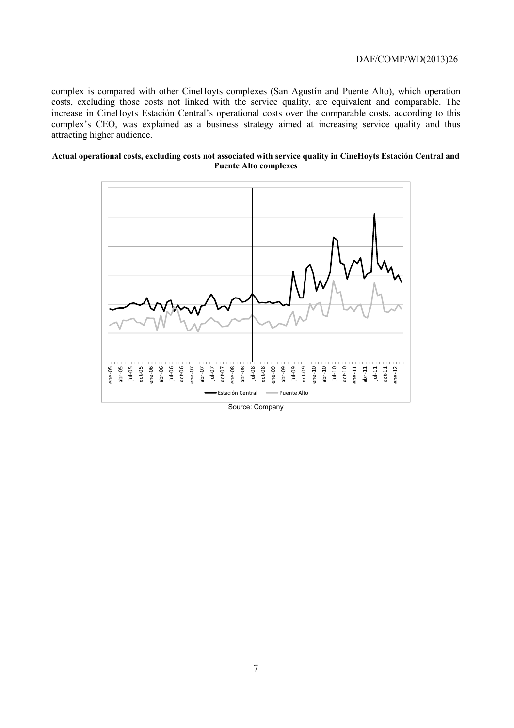complex is compared with other CineHoyts complexes (San Agustín and Puente Alto), which operation costs, excluding those costs not linked with the service quality, are equivalent and comparable. The increase in CineHoyts Estación Central's operational costs over the comparable costs, according to this complex's CEO, was explained as a business strategy aimed at increasing service quality and thus attracting higher audience.

#### **Actual operational costs, excluding costs not associated with service quality in CineHoyts Estación Central and Puente Alto complexes**

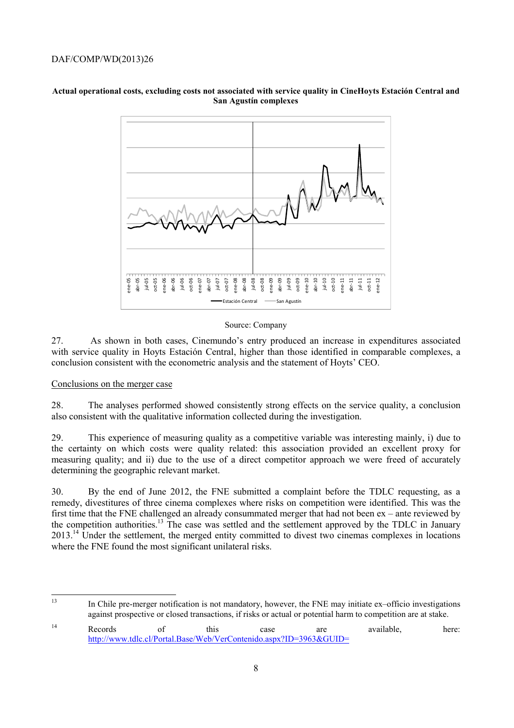

#### **Actual operational costs, excluding costs not associated with service quality in CineHoyts Estación Central and San Agustín complexes**

#### Source: Company

27. As shown in both cases, Cinemundo's entry produced an increase in expenditures associated with service quality in Hoyts Estación Central, higher than those identified in comparable complexes, a conclusion consistent with the econometric analysis and the statement of Hoyts' CEO.

#### Conclusions on the merger case

28. The analyses performed showed consistently strong effects on the service quality, a conclusion also consistent with the qualitative information collected during the investigation.

29. This experience of measuring quality as a competitive variable was interesting mainly, i) due to the certainty on which costs were quality related: this association provided an excellent proxy for measuring quality; and ii) due to the use of a direct competitor approach we were freed of accurately determining the geographic relevant market.

30. By the end of June 2012, the FNE submitted a complaint before the TDLC requesting, as a remedy, divestitures of three cinema complexes where risks on competition were identified. This was the first time that the FNE challenged an already consummated merger that had not been ex – ante reviewed by the competition authorities.<sup>13</sup> The case was settled and the settlement approved by the TDLC in January 2013.<sup>14</sup> Under the settlement, the merged entity committed to divest two cinemas complexes in locations where the FNE found the most significant unilateral risks.

 $\overline{12}$ 

<sup>13</sup> In Chile pre-merger notification is not mandatory, however, the FNE may initiate ex–officio investigations against prospective or closed transactions, if risks or actual or potential harm to competition are at stake.

<sup>&</sup>lt;sup>14</sup> Records of this case are available, here: http://www.tdlc.cl/Portal.Base/Web/VerContenido.aspx?ID=3963&GUID=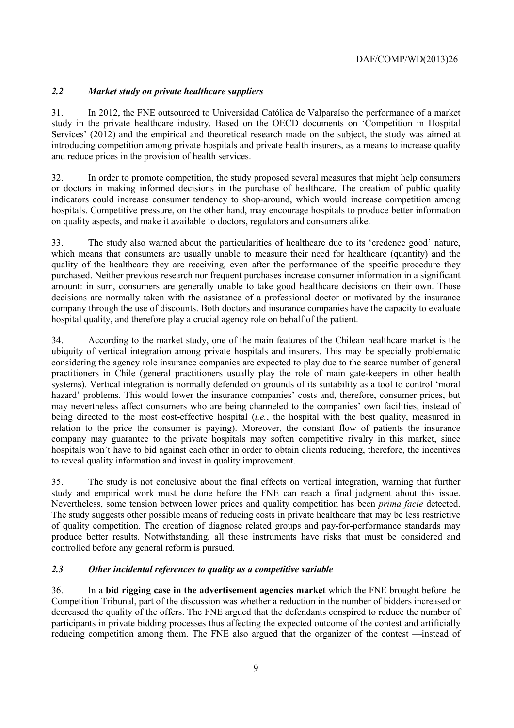# *2.2 Market study on private healthcare suppliers*

31. In 2012, the FNE outsourced to Universidad Católica de Valparaíso the performance of a market study in the private healthcare industry. Based on the OECD documents on 'Competition in Hospital Services' (2012) and the empirical and theoretical research made on the subject, the study was aimed at introducing competition among private hospitals and private health insurers, as a means to increase quality and reduce prices in the provision of health services.

32. In order to promote competition, the study proposed several measures that might help consumers or doctors in making informed decisions in the purchase of healthcare. The creation of public quality indicators could increase consumer tendency to shop-around, which would increase competition among hospitals. Competitive pressure, on the other hand, may encourage hospitals to produce better information on quality aspects, and make it available to doctors, regulators and consumers alike.

33. The study also warned about the particularities of healthcare due to its 'credence good' nature, which means that consumers are usually unable to measure their need for healthcare (quantity) and the quality of the healthcare they are receiving, even after the performance of the specific procedure they purchased. Neither previous research nor frequent purchases increase consumer information in a significant amount: in sum, consumers are generally unable to take good healthcare decisions on their own. Those decisions are normally taken with the assistance of a professional doctor or motivated by the insurance company through the use of discounts. Both doctors and insurance companies have the capacity to evaluate hospital quality, and therefore play a crucial agency role on behalf of the patient.

34. According to the market study, one of the main features of the Chilean healthcare market is the ubiquity of vertical integration among private hospitals and insurers. This may be specially problematic considering the agency role insurance companies are expected to play due to the scarce number of general practitioners in Chile (general practitioners usually play the role of main gate-keepers in other health systems). Vertical integration is normally defended on grounds of its suitability as a tool to control 'moral hazard' problems. This would lower the insurance companies' costs and, therefore, consumer prices, but may nevertheless affect consumers who are being channeled to the companies' own facilities, instead of being directed to the most cost-effective hospital (*i.e.*, the hospital with the best quality, measured in relation to the price the consumer is paying). Moreover, the constant flow of patients the insurance company may guarantee to the private hospitals may soften competitive rivalry in this market, since hospitals won't have to bid against each other in order to obtain clients reducing, therefore, the incentives to reveal quality information and invest in quality improvement.

35. The study is not conclusive about the final effects on vertical integration, warning that further study and empirical work must be done before the FNE can reach a final judgment about this issue. Nevertheless, some tension between lower prices and quality competition has been *prima facie* detected. The study suggests other possible means of reducing costs in private healthcare that may be less restrictive of quality competition. The creation of diagnose related groups and pay-for-performance standards may produce better results. Notwithstanding, all these instruments have risks that must be considered and controlled before any general reform is pursued.

# *2.3 Other incidental references to quality as a competitive variable*

36. In a **bid rigging case in the advertisement agencies market** which the FNE brought before the Competition Tribunal, part of the discussion was whether a reduction in the number of bidders increased or decreased the quality of the offers. The FNE argued that the defendants conspired to reduce the number of participants in private bidding processes thus affecting the expected outcome of the contest and artificially reducing competition among them. The FNE also argued that the organizer of the contest —instead of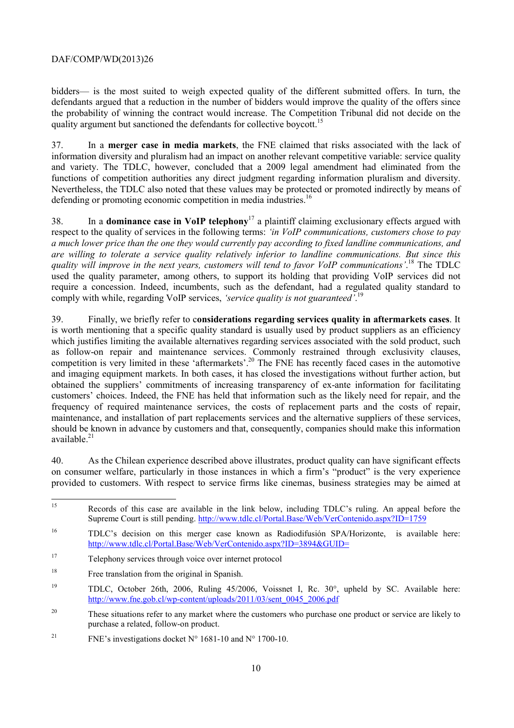bidders— is the most suited to weigh expected quality of the different submitted offers. In turn, the defendants argued that a reduction in the number of bidders would improve the quality of the offers since the probability of winning the contract would increase. The Competition Tribunal did not decide on the quality argument but sanctioned the defendants for collective boycott.<sup>15</sup>

37. In a **merger case in media markets**, the FNE claimed that risks associated with the lack of information diversity and pluralism had an impact on another relevant competitive variable: service quality and variety. The TDLC, however, concluded that a 2009 legal amendment had eliminated from the functions of competition authorities any direct judgment regarding information pluralism and diversity. Nevertheless, the TDLC also noted that these values may be protected or promoted indirectly by means of defending or promoting economic competition in media industries.<sup>16</sup>

38. In a **dominance case in VoIP telephony**17 a plaintiff claiming exclusionary effects argued with respect to the quality of services in the following terms: *'in VoIP communications, customers chose to pay a much lower price than the one they would currently pay according to fixed landline communications, and are willing to tolerate a service quality relatively inferior to landline communications. But since this quality will improve in the next years, customers will tend to favor VoIP communications'*. 18 The TDLC used the quality parameter, among others, to support its holding that providing VoIP services did not require a concession. Indeed, incumbents, such as the defendant, had a regulated quality standard to comply with while, regarding VoIP services, *'service quality is not guaranteed'*. 19

39. Finally, we briefly refer to c**onsiderations regarding services quality in aftermarkets cases**. It is worth mentioning that a specific quality standard is usually used by product suppliers as an efficiency which justifies limiting the available alternatives regarding services associated with the sold product, such as follow-on repair and maintenance services. Commonly restrained through exclusivity clauses, competition is very limited in these 'aftermarkets'.<sup>20</sup> The FNE has recently faced cases in the automotive and imaging equipment markets. In both cases, it has closed the investigations without further action, but obtained the suppliers' commitments of increasing transparency of ex-ante information for facilitating customers' choices. Indeed, the FNE has held that information such as the likely need for repair, and the frequency of required maintenance services, the costs of replacement parts and the costs of repair, maintenance, and installation of part replacements services and the alternative suppliers of these services, should be known in advance by customers and that, consequently, companies should make this information available. $21$ 

40. As the Chilean experience described above illustrates, product quality can have significant effects on consumer welfare, particularly in those instances in which a firm's "product" is the very experience provided to customers. With respect to service firms like cinemas, business strategies may be aimed at

- 17 Telephony services through voice over internet protocol
- <sup>18</sup> Free translation from the original in Spanish.
- <sup>19</sup> TDLC, October 26th, 2006, Ruling 45/2006, Voissnet I, Rc. 30°, upheld by SC. Available here: http://www.fne.gob.cl/wp-content/uploads/2011/03/sent\_0045\_2006.pdf
- <sup>20</sup> These situations refer to any market where the customers who purchase one product or service are likely to purchase a related, follow-on product.
- <sup>21</sup> FNE's investigations docket  $N^{\circ}$  1681-10 and  $N^{\circ}$  1700-10.

<sup>15</sup> Records of this case are available in the link below, including TDLC's ruling. An appeal before the Supreme Court is still pending. http://www.tdlc.cl/Portal.Base/Web/VerContenido.aspx?ID=1759

<sup>16</sup> TDLC's decision on this merger case known as Radiodifusión SPA/Horizonte, is available here: http://www.tdlc.cl/Portal.Base/Web/VerContenido.aspx?ID=3894&GUID=